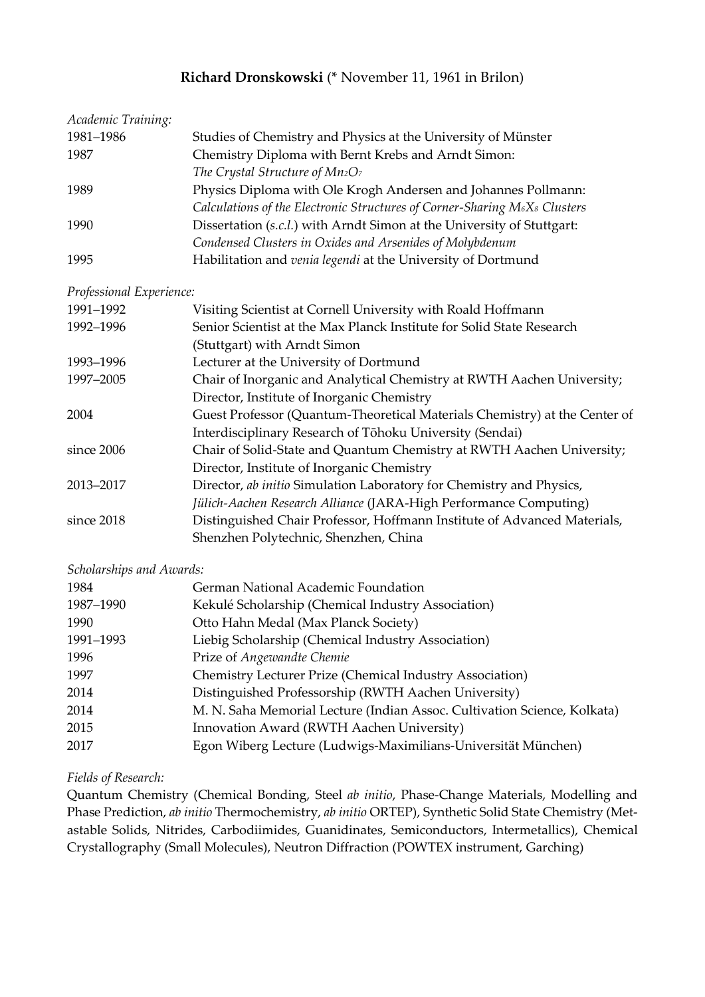## **Richard Dronskowski** (\* November 11, 1961 in Brilon)

| Academic Training:       |                                                                            |
|--------------------------|----------------------------------------------------------------------------|
| 1981-1986                | Studies of Chemistry and Physics at the University of Münster              |
| 1987                     | Chemistry Diploma with Bernt Krebs and Arndt Simon:                        |
|                          | The Crystal Structure of Mn2O7                                             |
| 1989                     | Physics Diploma with Ole Krogh Andersen and Johannes Pollmann:             |
|                          | Calculations of the Electronic Structures of Corner-Sharing M6X8 Clusters  |
| 1990                     | Dissertation (s.c.l.) with Arndt Simon at the University of Stuttgart:     |
|                          | Condensed Clusters in Oxides and Arsenides of Molybdenum                   |
| 1995                     | Habilitation and venia legendi at the University of Dortmund               |
| Professional Experience: |                                                                            |
| 1991-1992                | Visiting Scientist at Cornell University with Roald Hoffmann               |
| 1992-1996                | Senior Scientist at the Max Planck Institute for Solid State Research      |
|                          | (Stuttgart) with Arndt Simon                                               |
| 1993-1996                | Lecturer at the University of Dortmund                                     |
| 1997-2005                | Chair of Inorganic and Analytical Chemistry at RWTH Aachen University;     |
|                          | Director, Institute of Inorganic Chemistry                                 |
| 2004                     | Guest Professor (Quantum-Theoretical Materials Chemistry) at the Center of |
|                          | Interdisciplinary Research of Tōhoku University (Sendai)                   |
| since 2006               | Chair of Solid-State and Quantum Chemistry at RWTH Aachen University;      |
|                          | Director, Institute of Inorganic Chemistry                                 |
| 2013-2017                | Director, ab initio Simulation Laboratory for Chemistry and Physics,       |
|                          | Jülich-Aachen Research Alliance (JARA-High Performance Computing)          |
| since 2018               | Distinguished Chair Professor, Hoffmann Institute of Advanced Materials,   |
|                          | Shenzhen Polytechnic, Shenzhen, China                                      |
| Scholarships and Awards: |                                                                            |
| 1984                     | German National Academic Foundation                                        |
| 1987-1990                | Kekulé Scholarship (Chemical Industry Association)                         |
| 1990                     | Otto Hahn Medal (Max Planck Society)                                       |
| 1991-1993                | Liebig Scholarship (Chemical Industry Association)                         |
| 1996                     | Prize of Angewandte Chemie                                                 |

1997 Chemistry Lecturer Prize (Chemical Industry Association)

2014 Distinguished Professorship (RWTH Aachen University)

2014 M. N. Saha Memorial Lecture (Indian Assoc. Cultivation Science, Kolkata)

2015 Innovation Award (RWTH Aachen University)

2017 Egon Wiberg Lecture (Ludwigs-Maximilians-Universität München)

# *Fields of Research:*

Quantum Chemistry (Chemical Bonding, Steel *ab initio*, Phase-Change Materials, Modelling and Phase Prediction, *ab initio* Thermochemistry, *ab initio* ORTEP), Synthetic Solid State Chemistry (Metastable Solids, Nitrides, Carbodiimides, Guanidinates, Semiconductors, Intermetallics), Chemical Crystallography (Small Molecules), Neutron Diffraction (POWTEX instrument, Garching)